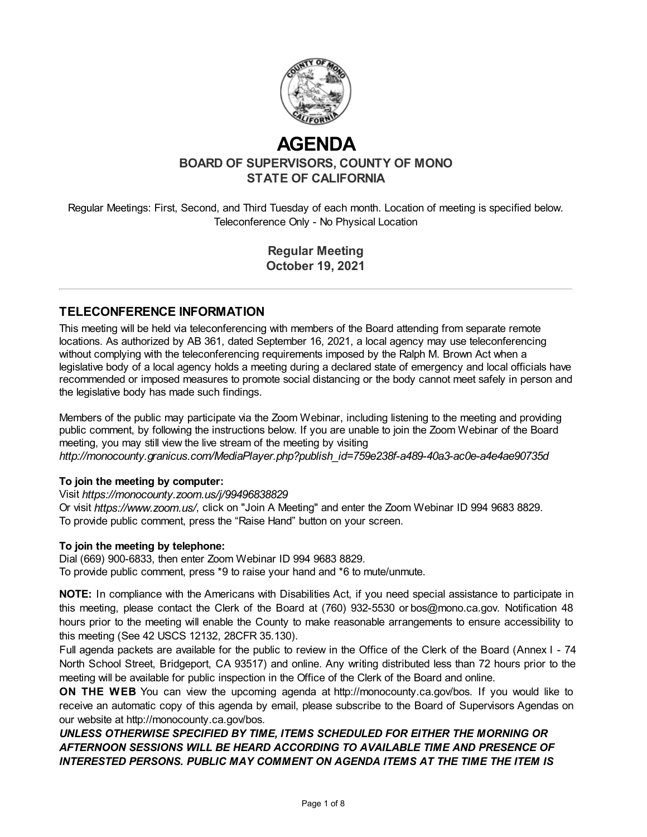

# **AGENDA**

**BOARD OF SUPERVISORS, COUNTY OF MONO STATE OF CALIFORNIA**

Regular Meetings: First, Second, and Third Tuesday of each month. Location of meeting is specified below. Teleconference Only - No Physical Location

> **Regular Meeting October 19, 2021**

#### **TELECONFERENCE INFORMATION**

This meeting will be held via teleconferencing with members of the Board attending from separate remote locations. As authorized by AB 361, dated September 16, 2021, a local agency may use teleconferencing without complying with the teleconferencing requirements imposed by the Ralph M. Brown Act when a legislative body of a local agency holds a meeting during a declared state of emergency and local officials have recommended or imposed measures to promote social distancing or the body cannot meet safely in person and the legislative body has made such findings.

Members of the public may participate via the Zoom Webinar, including listening to the meeting and providing public comment, by following the instructions below. If you are unable to join the Zoom Webinar of the Board meeting, you may still view the live stream of the meeting by visiting *http://monocounty.granicus.com/MediaPlayer.php?publish\_id=759e238f-a489-40a3-ac0e-a4e4ae90735d*

#### **To join the meeting by computer:**

Visit *https://monocounty.zoom.us/j/99496838829*

Or visit *https://www.zoom.us/*, click on "Join A Meeting" and enter the Zoom Webinar ID 994 9683 8829. To provide public comment, press the "Raise Hand" button on your screen.

#### **To join the meeting by telephone:**

Dial (669) 900-6833, then enter Zoom Webinar ID 994 9683 8829. To provide public comment, press \*9 to raise your hand and \*6 to mute/unmute.

**NOTE:** In compliance with the Americans with Disabilities Act, if you need special assistance to participate in this meeting, please contact the Clerk of the Board at (760) 932-5530 or [bos@mono.ca.gov](mailto:bos@mono.ca.gov). Notification 48 hours prior to the meeting will enable the County to make reasonable arrangements to ensure accessibility to this meeting (See 42 USCS 12132, 28CFR 35.130).

Full agenda packets are available for the public to review in the Office of the Clerk of the Board (Annex I - 74 North School Street, Bridgeport, CA 93517) and online. Any writing distributed less than 72 hours prior to the meeting will be available for public inspection in the Office of the Clerk of the Board and online.

**ON THE WEB** You can view the upcoming agenda at [http://monocounty.ca.gov/bos](http://http//monocounty.ca.gov/bos). If you would like to receive an automatic copy of this agenda by email, please subscribe to the Board of Supervisors Agendas on our website at<http://monocounty.ca.gov/bos>.

*UNLESS OTHERWISE SPECIFIED BY TIME, ITEMS SCHEDULED FOR EITHER THE MORNING OR AFTERNOON SESSIONS WILL BE HEARD ACCORDING TO AVAILABLE TIME AND PRESENCE OF INTERESTED PERSONS. PUBLIC MAY COMMENT ON AGENDA ITEMS AT THE TIME THE ITEM IS*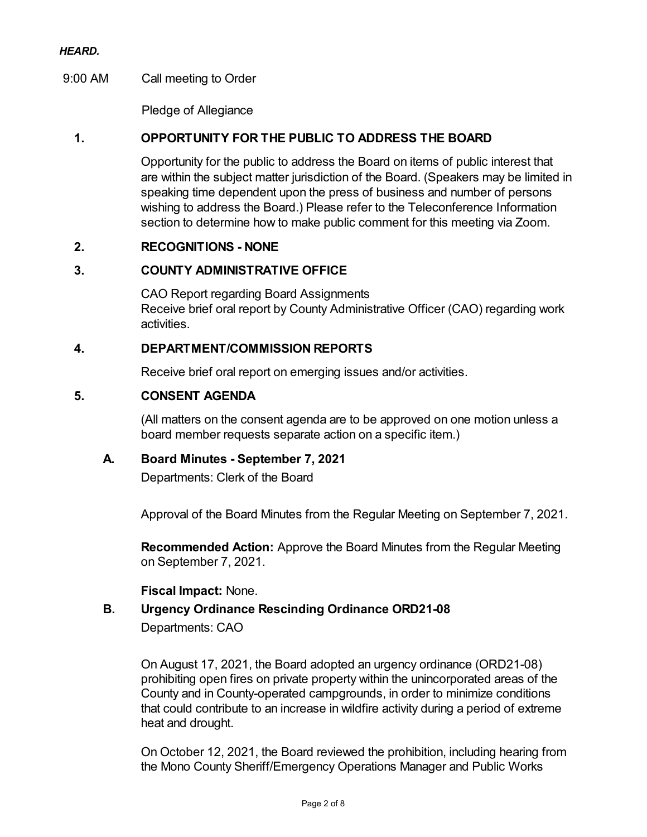#### *HEARD.*

### 9:00 AM Call meeting to Order

Pledge of Allegiance

### **1. OPPORTUNITY FOR THE PUBLIC TO ADDRESS THE BOARD**

Opportunity for the public to address the Board on items of public interest that are within the subject matter jurisdiction of the Board. (Speakers may be limited in speaking time dependent upon the press of business and number of persons wishing to address the Board.) Please refer to the Teleconference Information section to determine how to make public comment for this meeting via Zoom.

#### **2. RECOGNITIONS - NONE**

#### **3. COUNTY ADMINISTRATIVE OFFICE**

CAO Report regarding Board Assignments Receive brief oral report by County Administrative Officer (CAO) regarding work activities.

#### **4. DEPARTMENT/COMMISSION REPORTS**

Receive brief oral report on emerging issues and/or activities.

#### **5. CONSENT AGENDA**

(All matters on the consent agenda are to be approved on one motion unless a board member requests separate action on a specific item.)

#### **A. Board Minutes - September 7, 2021**

Departments: Clerk of the Board

Approval of the Board Minutes from the Regular Meeting on September 7, 2021.

**Recommended Action:** Approve the Board Minutes from the Regular Meeting on September 7, 2021.

#### **Fiscal Impact:** None.

## **B. Urgency Ordinance Rescinding Ordinance ORD21-08** Departments: CAO

On August 17, 2021, the Board adopted an urgency ordinance (ORD21-08) prohibiting open fires on private property within the unincorporated areas of the County and in County-operated campgrounds, in order to minimize conditions that could contribute to an increase in wildfire activity during a period of extreme heat and drought.

On October 12, 2021, the Board reviewed the prohibition, including hearing from the Mono County Sheriff/Emergency Operations Manager and Public Works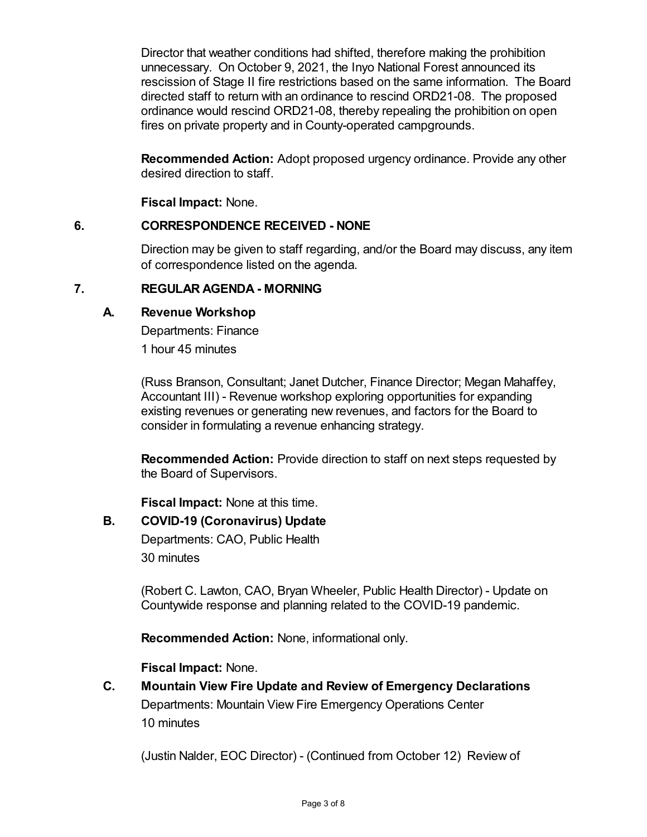Director that weather conditions had shifted, therefore making the prohibition unnecessary. On October 9, 2021, the Inyo National Forest announced its rescission of Stage II fire restrictions based on the same information. The Board directed staff to return with an ordinance to rescind ORD21-08. The proposed ordinance would rescind ORD21-08, thereby repealing the prohibition on open fires on private property and in County-operated campgrounds.

**Recommended Action:** Adopt proposed urgency ordinance. Provide any other desired direction to staff.

**Fiscal Impact:** None.

## **6. CORRESPONDENCE RECEIVED - NONE**

Direction may be given to staff regarding, and/or the Board may discuss, any item of correspondence listed on the agenda.

## **7. REGULAR AGENDA - MORNING**

## **A. Revenue Workshop**

Departments: Finance 1 hour 45 minutes

(Russ Branson, Consultant; Janet Dutcher, Finance Director; Megan Mahaffey, Accountant III) - Revenue workshop exploring opportunities for expanding existing revenues or generating new revenues, and factors for the Board to consider in formulating a revenue enhancing strategy.

**Recommended Action:** Provide direction to staff on next steps requested by the Board of Supervisors.

**Fiscal Impact:** None at this time.

## **B. COVID-19 (Coronavirus) Update**

Departments: CAO, Public Health 30 minutes

(Robert C. Lawton, CAO, Bryan Wheeler, Public Health Director) - Update on Countywide response and planning related to the COVID-19 pandemic.

**Recommended Action:** None, informational only.

## **Fiscal Impact:** None.

**C. Mountain View Fire Update and Review of Emergency Declarations** Departments: Mountain View Fire Emergency Operations Center 10 minutes

(Justin Nalder, EOC Director) - (Continued from October 12) Review of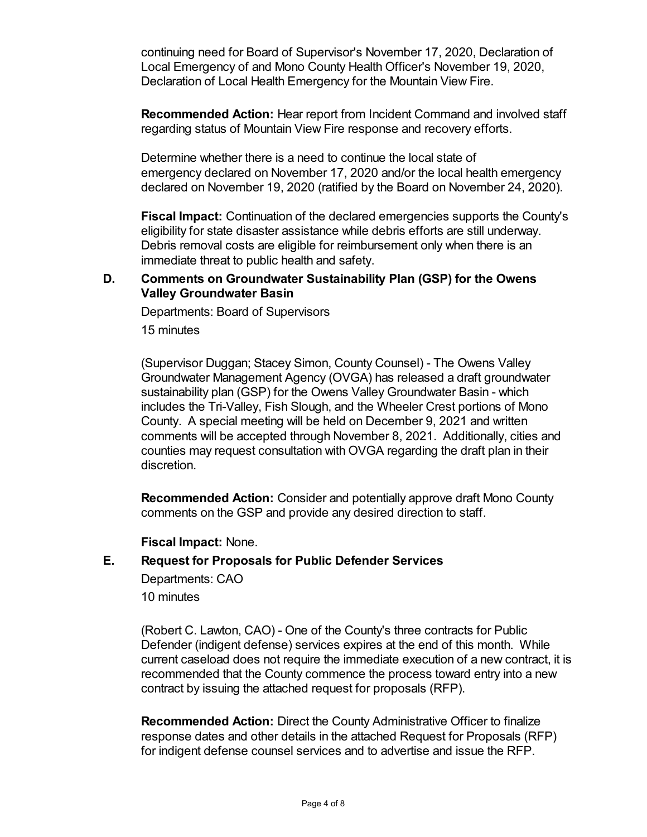continuing need for Board of Supervisor's November 17, 2020, Declaration of Local Emergency of and Mono County Health Officer's November 19, 2020, Declaration of Local Health Emergency for the Mountain View Fire.

**Recommended Action:** Hear report from Incident Command and involved staff regarding status of Mountain View Fire response and recovery efforts.

Determine whether there is a need to continue the local state of emergency declared on November 17, 2020 and/or the local health emergency declared on November 19, 2020 (ratified by the Board on November 24, 2020).

**Fiscal Impact:** Continuation of the declared emergencies supports the County's eligibility for state disaster assistance while debris efforts are still underway. Debris removal costs are eligible for reimbursement only when there is an immediate threat to public health and safety.

#### **D. Comments on Groundwater Sustainability Plan (GSP) for the Owens Valley Groundwater Basin**

Departments: Board of Supervisors

15 minutes

(Supervisor Duggan; Stacey Simon, County Counsel) - The Owens Valley Groundwater Management Agency (OVGA) has released a draft groundwater sustainability plan (GSP) for the Owens Valley Groundwater Basin - which includes the Tri-Valley, Fish Slough, and the Wheeler Crest portions of Mono County. A special meeting will be held on December 9, 2021 and written comments will be accepted through November 8, 2021. Additionally, cities and counties may request consultation with OVGA regarding the draft plan in their discretion.

**Recommended Action:** Consider and potentially approve draft Mono County comments on the GSP and provide any desired direction to staff.

**Fiscal Impact:** None.

#### **E. Request for Proposals for Public Defender Services**

Departments: CAO 10 minutes

(Robert C. Lawton, CAO) - One of the County's three contracts for Public Defender (indigent defense) services expires at the end of this month. While current caseload does not require the immediate execution of a new contract, it is recommended that the County commence the process toward entry into a new contract by issuing the attached request for proposals (RFP).

**Recommended Action:** Direct the County Administrative Officer to finalize response dates and other details in the attached Request for Proposals (RFP) for indigent defense counsel services and to advertise and issue the RFP.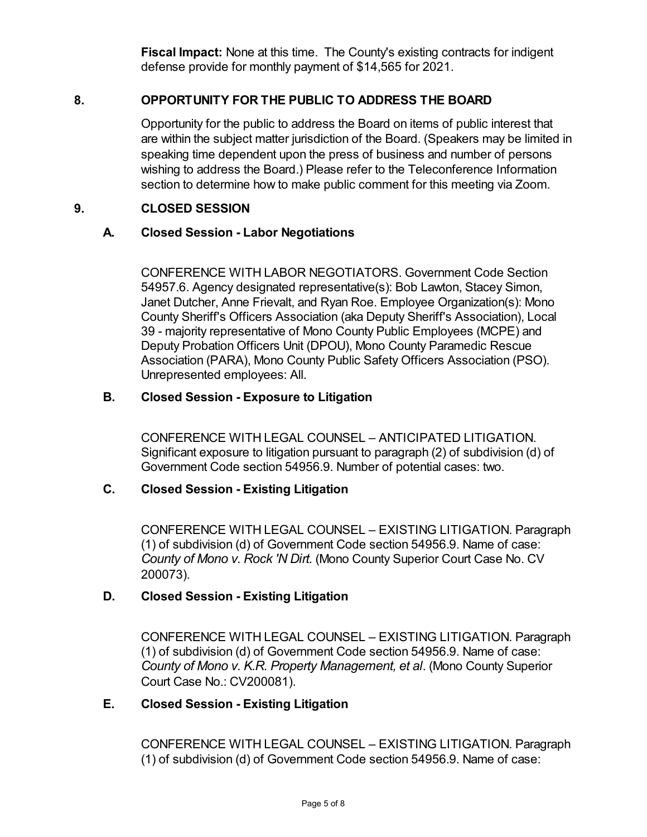**Fiscal Impact:** None at this time. The County's existing contracts for indigent defense provide for monthly payment of \$14,565 for 2021.

## **8. OPPORTUNITY FOR THE PUBLIC TO ADDRESS THE BOARD**

Opportunity for the public to address the Board on items of public interest that are within the subject matter jurisdiction of the Board. (Speakers may be limited in speaking time dependent upon the press of business and number of persons wishing to address the Board.) Please refer to the Teleconference Information section to determine how to make public comment for this meeting via Zoom.

## **9. CLOSED SESSION**

## **A. Closed Session - Labor Negotiations**

CONFERENCE WITH LABOR NEGOTIATORS. Government Code Section 54957.6. Agency designated representative(s): Bob Lawton, Stacey Simon, Janet Dutcher, Anne Frievalt, and Ryan Roe. Employee Organization(s): Mono County Sheriff's Officers Association (aka Deputy Sheriff's Association), Local 39 - majority representative of Mono County Public Employees (MCPE) and Deputy Probation Officers Unit (DPOU), Mono County Paramedic Rescue Association (PARA), Mono County Public Safety Officers Association (PSO). Unrepresented employees: All.

## **B. Closed Session - Exposure to Litigation**

CONFERENCE WITH LEGAL COUNSEL – ANTICIPATED LITIGATION. Significant exposure to litigation pursuant to paragraph (2) of subdivision (d) of Government Code section 54956.9. Number of potential cases: two.

## **C. Closed Session - Existing Litigation**

CONFERENCE WITH LEGAL COUNSEL – EXISTING LITIGATION. Paragraph (1) of subdivision (d) of Government Code section 54956.9. Name of case: *County of Mono v. Rock 'N Dirt.* (Mono County Superior Court Case No. CV 200073).

## **D. Closed Session - Existing Litigation**

CONFERENCE WITH LEGAL COUNSEL – EXISTING LITIGATION. Paragraph (1) of subdivision (d) of Government Code section 54956.9. Name of case: *County of Mono v. K.R. Property Management, et al*. (Mono County Superior Court Case No.: CV200081).

## **E. Closed Session - Existing Litigation**

CONFERENCE WITH LEGAL COUNSEL – EXISTING LITIGATION. Paragraph (1) of subdivision (d) of Government Code section 54956.9. Name of case: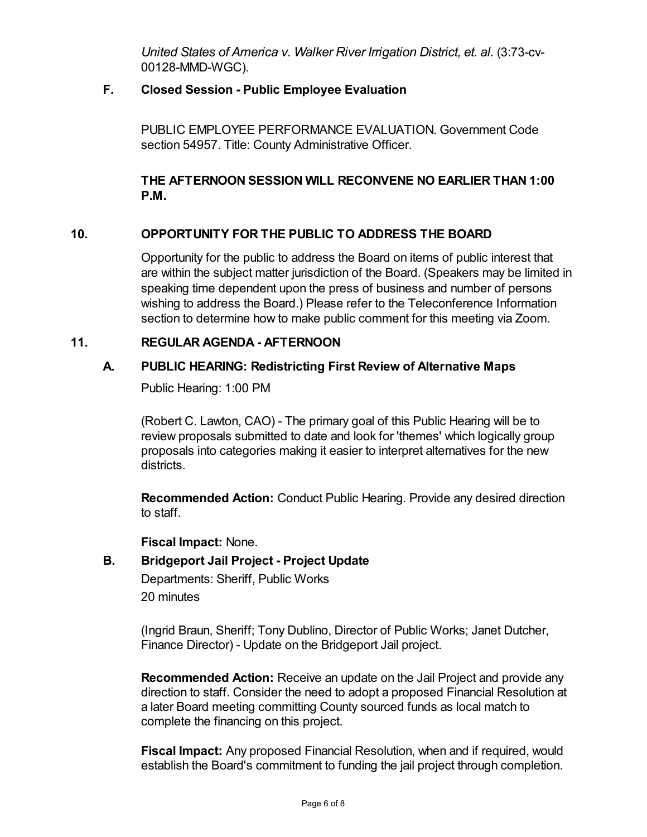*United States of America v. Walker River Irrigation District, et. al.* (3:73-cv-00128-MMD-WGC).

## **F. Closed Session - Public Employee Evaluation**

PUBLIC EMPLOYEE PERFORMANCE EVALUATION. Government Code section 54957. Title: County Administrative Officer.

## **THE AFTERNOON SESSION WILL RECONVENE NO EARLIER THAN 1:00 P.M.**

## **10. OPPORTUNITY FOR THE PUBLIC TO ADDRESS THE BOARD**

Opportunity for the public to address the Board on items of public interest that are within the subject matter jurisdiction of the Board. (Speakers may be limited in speaking time dependent upon the press of business and number of persons wishing to address the Board.) Please refer to the Teleconference Information section to determine how to make public comment for this meeting via Zoom.

## **11. REGULAR AGENDA - AFTERNOON**

## **A. PUBLIC HEARING: Redistricting First Review of Alternative Maps**

Public Hearing: 1:00 PM

(Robert C. Lawton, CAO) - The primary goal of this Public Hearing will be to review proposals submitted to date and look for 'themes' which logically group proposals into categories making it easier to interpret alternatives for the new districts.

**Recommended Action:** Conduct Public Hearing. Provide any desired direction to staff.

**Fiscal Impact:** None.

## **B. Bridgeport Jail Project - Project Update**

Departments: Sheriff, Public Works 20 minutes

(Ingrid Braun, Sheriff; Tony Dublino, Director of Public Works; Janet Dutcher, Finance Director) - Update on the Bridgeport Jail project.

**Recommended Action:** Receive an update on the Jail Project and provide any direction to staff. Consider the need to adopt a proposed Financial Resolution at a later Board meeting committing County sourced funds as local match to complete the financing on this project.

**Fiscal Impact:** Any proposed Financial Resolution, when and if required, would establish the Board's commitment to funding the jail project through completion.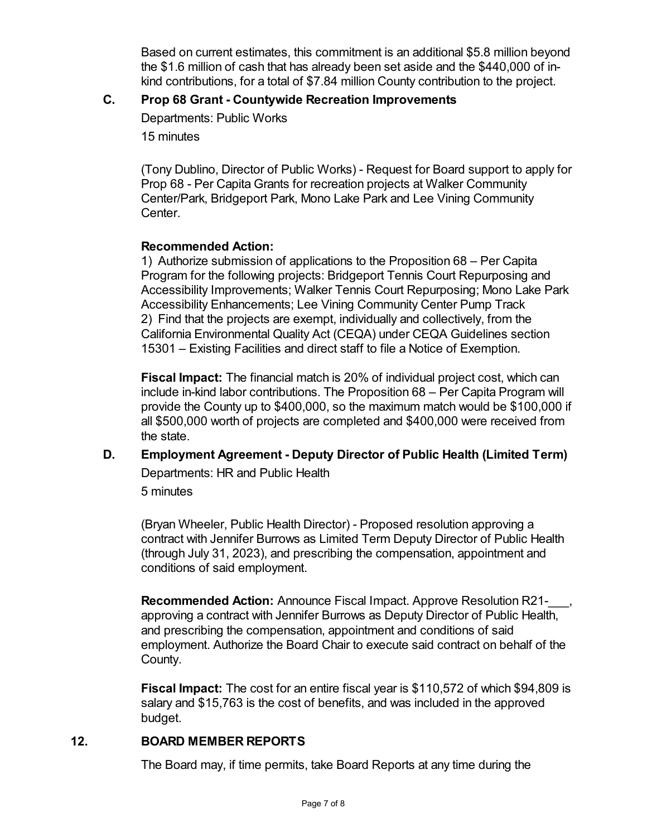Based on current estimates, this commitment is an additional \$5.8 million beyond the \$1.6 million of cash that has already been set aside and the \$440,000 of inkind contributions, for a total of \$7.84 million County contribution to the project.

## **C. Prop 68 Grant - Countywide Recreation Improvements**

Departments: Public Works

15 minutes

(Tony Dublino, Director of Public Works) - Request for Board support to apply for Prop 68 - Per Capita Grants for recreation projects at Walker Community Center/Park, Bridgeport Park, Mono Lake Park and Lee Vining Community Center.

## **Recommended Action:**

1) Authorize submission of applications to the Proposition 68 – Per Capita Program for the following projects: Bridgeport Tennis Court Repurposing and Accessibility Improvements; Walker Tennis Court Repurposing; Mono Lake Park Accessibility Enhancements; Lee Vining Community Center Pump Track 2) Find that the projects are exempt, individually and collectively, from the California Environmental Quality Act (CEQA) under CEQA Guidelines section 15301 – Existing Facilities and direct staff to file a Notice of Exemption.

**Fiscal Impact:** The financial match is 20% of individual project cost, which can include in-kind labor contributions. The Proposition 68 – Per Capita Program will provide the County up to \$400,000, so the maximum match would be \$100,000 if all \$500,000 worth of projects are completed and \$400,000 were received from the state.

**D. Employment Agreement - Deputy Director of Public Health (Limited Term)** Departments: HR and Public Health

5 minutes

(Bryan Wheeler, Public Health Director) - Proposed resolution approving a contract with Jennifer Burrows as Limited Term Deputy Director of Public Health (through July 31, 2023), and prescribing the compensation, appointment and conditions of said employment.

**Recommended Action:** Announce Fiscal Impact. Approve Resolution R21-\_\_\_, approving a contract with Jennifer Burrows as Deputy Director of Public Health, and prescribing the compensation, appointment and conditions of said employment. Authorize the Board Chair to execute said contract on behalf of the County.

**Fiscal Impact:** The cost for an entire fiscal year is \$110,572 of which \$94,809 is salary and \$15,763 is the cost of benefits, and was included in the approved budget.

## **12. BOARD MEMBER REPORTS**

The Board may, if time permits, take Board Reports at any time during the